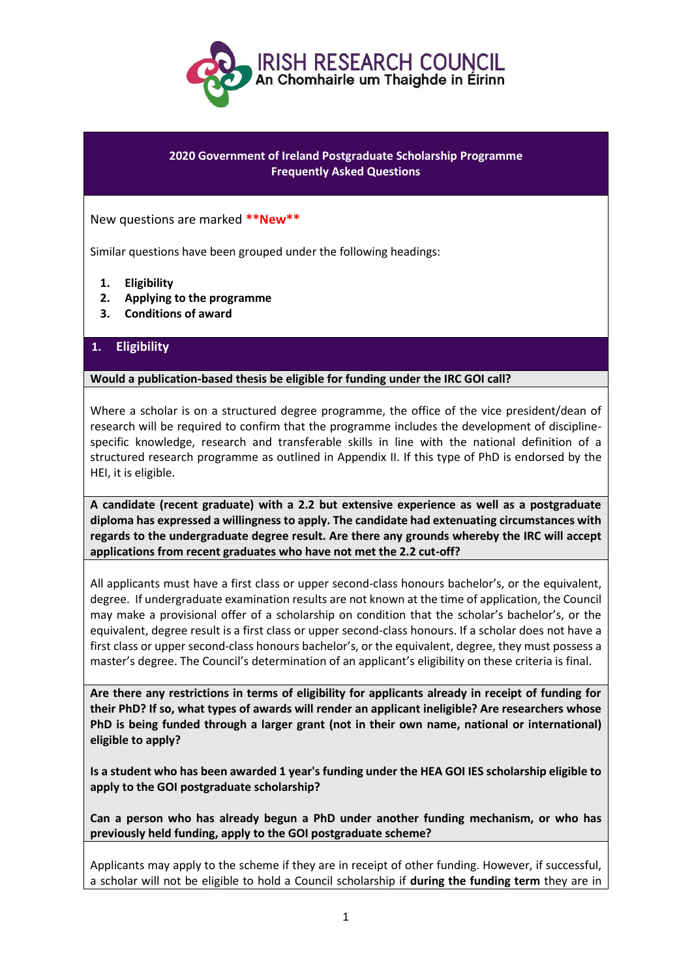

## **2020 Government of Ireland Postgraduate Scholarship Programme Frequently Asked Questions**

New questions are marked **\*\*New\*\***

Similar questions have been grouped under the following headings:

- **1. Eligibility**
- **2. Applying to the programme**
- **3. Conditions of award**

# **1. Eligibility**

### **Would a publication-based thesis be eligible for funding under the IRC GOI call?**

Where a scholar is on a structured degree programme, the office of the vice president/dean of research will be required to confirm that the programme includes the development of disciplinespecific knowledge, research and transferable skills in line with the national definition of a structured research programme as outlined in Appendix II. If this type of PhD is endorsed by the HEI, it is eligible.

**A candidate (recent graduate) with a 2.2 but extensive experience as well as a postgraduate diploma has expressed a willingness to apply. The candidate had extenuating circumstances with regards to the undergraduate degree result. Are there any grounds whereby the IRC will accept applications from recent graduates who have not met the 2.2 cut-off?**

All applicants must have a first class or upper second-class honours bachelor's, or the equivalent, degree. If undergraduate examination results are not known at the time of application, the Council may make a provisional offer of a scholarship on condition that the scholar's bachelor's, or the equivalent, degree result is a first class or upper second-class honours. If a scholar does not have a first class or upper second-class honours bachelor's, or the equivalent, degree, they must possess a master's degree. The Council's determination of an applicant's eligibility on these criteria is final.

**Are there any restrictions in terms of eligibility for applicants already in receipt of funding for their PhD? If so, what types of awards will render an applicant ineligible? Are researchers whose PhD is being funded through a larger grant (not in their own name, national or international) eligible to apply?**

**Is a student who has been awarded 1 year's funding under the HEA GOI IES scholarship eligible to apply to the GOI postgraduate scholarship?**

**Can a person who has already begun a PhD under another funding mechanism, or who has previously held funding, apply to the GOI postgraduate scheme?**

Applicants may apply to the scheme if they are in receipt of other funding. However, if successful, a scholar will not be eligible to hold a Council scholarship if **during the funding term** they are in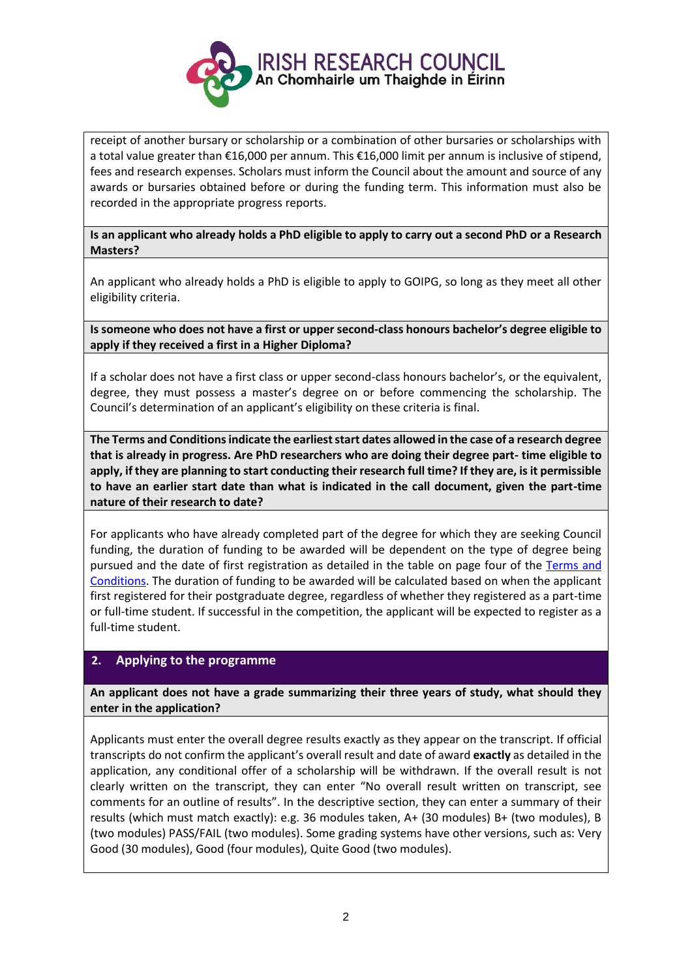

receipt of another bursary or scholarship or a combination of other bursaries or scholarships with a total value greater than €16,000 per annum. This €16,000 limit per annum is inclusive of stipend, fees and research expenses. Scholars must inform the Council about the amount and source of any awards or bursaries obtained before or during the funding term. This information must also be recorded in the appropriate progress reports.

**Is an applicant who already holds a PhD eligible to apply to carry out a second PhD or a Research Masters?**

An applicant who already holds a PhD is eligible to apply to GOIPG, so long as they meet all other eligibility criteria.

**Is someone who does not have a first or upper second-class honours bachelor's degree eligible to apply if they received a first in a Higher Diploma?**

If a scholar does not have a first class or upper second-class honours bachelor's, or the equivalent, degree, they must possess a master's degree on or before commencing the scholarship. The Council's determination of an applicant's eligibility on these criteria is final.

**The Terms and Conditions indicate the earliest start dates allowed in the case of a research degree that is already in progress. Are PhD researchers who are doing their degree part- time eligible to apply, if they are planning to start conducting their research full time? If they are, is it permissible to have an earlier start date than what is indicated in the call document, given the part-time nature of their research to date?**

For applicants who have already completed part of the degree for which they are seeking Council funding, the duration of funding to be awarded will be dependent on the type of degree being pursued and the date of first registration as detailed in the table on page four of the Terms and [Conditions.](http://research.ie/assets/uploads/2017/05/GOIPG_2019_Terms_and_Conditions_Final1.pdf) The duration of funding to be awarded will be calculated based on when the applicant first registered for their postgraduate degree, regardless of whether they registered as a part-time or full-time student. If successful in the competition, the applicant will be expected to register as a full-time student.

## **2. Applying to the programme**

**An applicant does not have a grade summarizing their three years of study, what should they enter in the application?**

Applicants must enter the overall degree results exactly as they appear on the transcript. If official transcripts do not confirm the applicant's overall result and date of award **exactly** as detailed in the application, any conditional offer of a scholarship will be withdrawn. If the overall result is not clearly written on the transcript, they can enter "No overall result written on transcript, see comments for an outline of results". In the descriptive section, they can enter a summary of their results (which must match exactly): e.g. 36 modules taken, A+ (30 modules) B+ (two modules), B (two modules) PASS/FAIL (two modules). Some grading systems have other versions, such as: Very Good (30 modules), Good (four modules), Quite Good (two modules).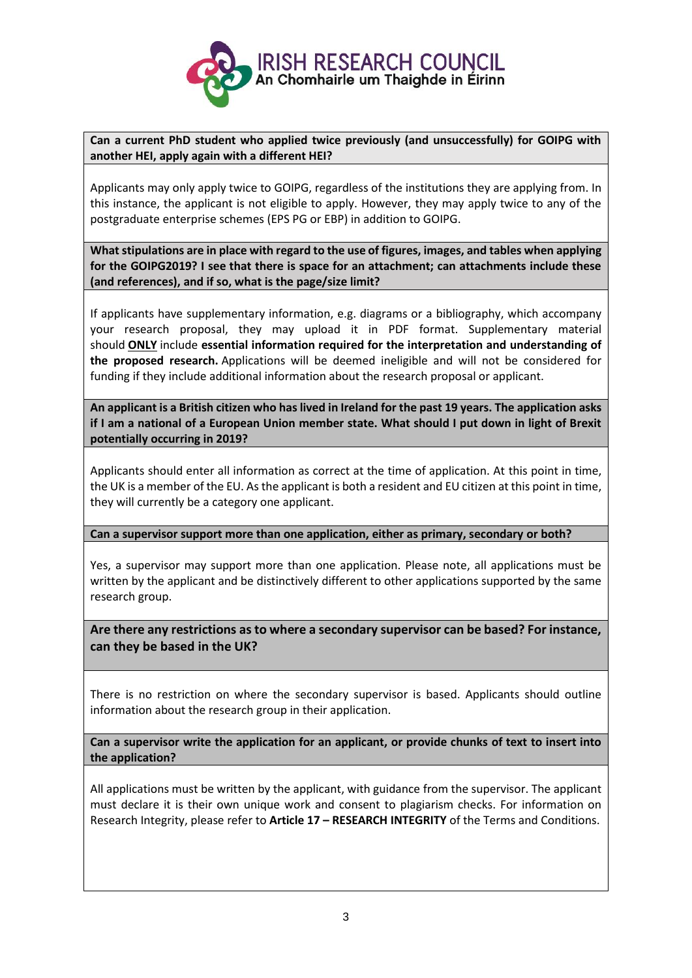

**Can a current PhD student who applied twice previously (and unsuccessfully) for GOIPG with another HEI, apply again with a different HEI?**

Applicants may only apply twice to GOIPG, regardless of the institutions they are applying from. In this instance, the applicant is not eligible to apply. However, they may apply twice to any of the postgraduate enterprise schemes (EPS PG or EBP) in addition to GOIPG.

**What stipulations are in place with regard to the use of figures, images, and tables when applying for the GOIPG2019? I see that there is space for an attachment; can attachments include these (and references), and if so, what is the page/size limit?**

If applicants have supplementary information, e.g. diagrams or a bibliography, which accompany your research proposal, they may upload it in PDF format. Supplementary material should **ONLY** include **essential information required for the interpretation and understanding of the proposed research.** Applications will be deemed ineligible and will not be considered for funding if they include additional information about the research proposal or applicant.

**An applicant is a British citizen who has lived in Ireland for the past 19 years. The application asks if I am a national of a European Union member state. What should I put down in light of Brexit potentially occurring in 2019?**

Applicants should enter all information as correct at the time of application. At this point in time, the UK is a member of the EU. As the applicant is both a resident and EU citizen at this point in time, they will currently be a category one applicant.

### **Can a supervisor support more than one application, either as primary, secondary or both?**

Yes, a supervisor may support more than one application. Please note, all applications must be written by the applicant and be distinctively different to other applications supported by the same research group.

**Are there any restrictions as to where a secondary supervisor can be based? For instance, can they be based in the UK?**

There is no restriction on where the secondary supervisor is based. Applicants should outline information about the research group in their application.

**Can a supervisor write the application for an applicant, or provide chunks of text to insert into the application?** 

All applications must be written by the applicant, with guidance from the supervisor. The applicant must declare it is their own unique work and consent to plagiarism checks. For information on Research Integrity, please refer to **Article 17 – RESEARCH INTEGRITY** of the Terms and Conditions.